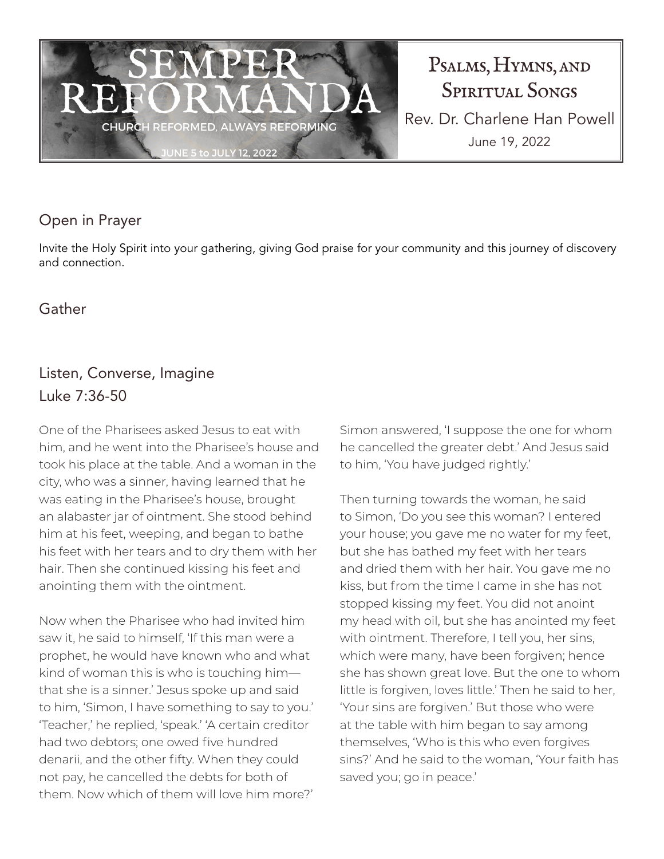

Psalms, Hymns, and SPIRITUAL SONGS Rev. Dr. Charlene Han Powell

June 19, 2022

## Open in Prayer

Invite the Holy Spirit into your gathering, giving God praise for your community and this journey of discovery and connection.

## Gather

# Listen, Converse, Imagine Luke 7:36-50

One of the Pharisees asked Jesus to eat with him, and he went into the Pharisee's house and took his place at the table. And a woman in the city, who was a sinner, having learned that he was eating in the Pharisee's house, brought an alabaster jar of ointment. She stood behind him at his feet, weeping, and began to bathe his feet with her tears and to dry them with her hair. Then she continued kissing his feet and anointing them with the ointment.

Now when the Pharisee who had invited him saw it, he said to himself, 'If this man were a prophet, he would have known who and what kind of woman this is who is touching him that she is a sinner.' Jesus spoke up and said to him, 'Simon, I have something to say to you.' 'Teacher,' he replied, 'speak.' 'A certain creditor had two debtors; one owed five hundred denarii, and the other fifty. When they could not pay, he cancelled the debts for both of them. Now which of them will love him more?' Simon answered, 'I suppose the one for whom he cancelled the greater debt.' And Jesus said to him, 'You have judged rightly.'

Then turning towards the woman, he said to Simon, 'Do you see this woman? I entered your house; you gave me no water for my feet, but she has bathed my feet with her tears and dried them with her hair. You gave me no kiss, but from the time I came in she has not stopped kissing my feet. You did not anoint my head with oil, but she has anointed my feet with ointment. Therefore, I tell you, her sins, which were many, have been forgiven; hence she has shown great love. But the one to whom little is forgiven, loves little.' Then he said to her, 'Your sins are forgiven.' But those who were at the table with him began to say among themselves, 'Who is this who even forgives sins?' And he said to the woman, 'Your faith has saved you; go in peace.'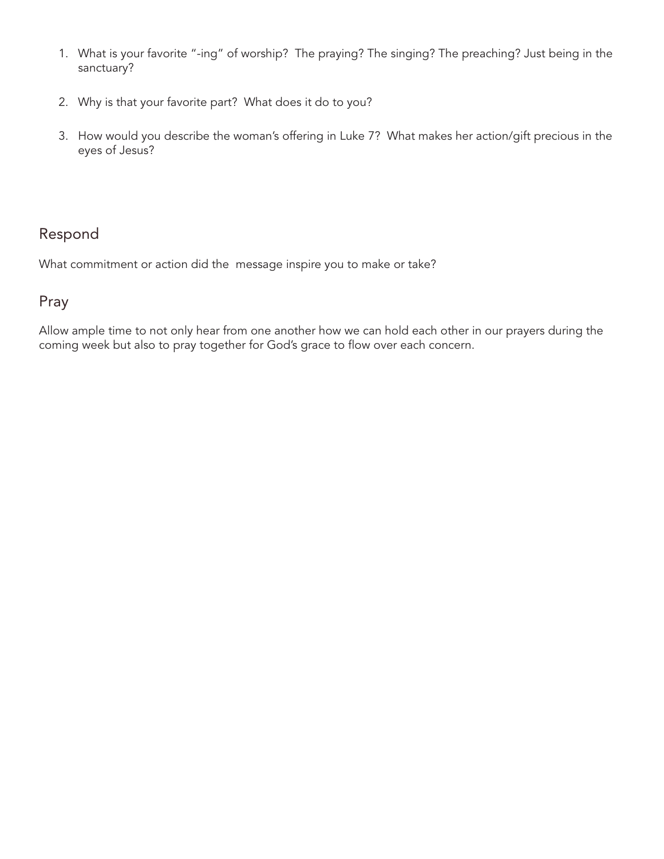- 1. What is your favorite "-ing" of worship? The praying? The singing? The preaching? Just being in the sanctuary?
- 2. Why is that your favorite part? What does it do to you?
- 3. How would you describe the woman's offering in Luke 7? What makes her action/gift precious in the eyes of Jesus?

#### Respond

What commitment or action did the message inspire you to make or take?

#### Pray

Allow ample time to not only hear from one another how we can hold each other in our prayers during the coming week but also to pray together for God's grace to flow over each concern.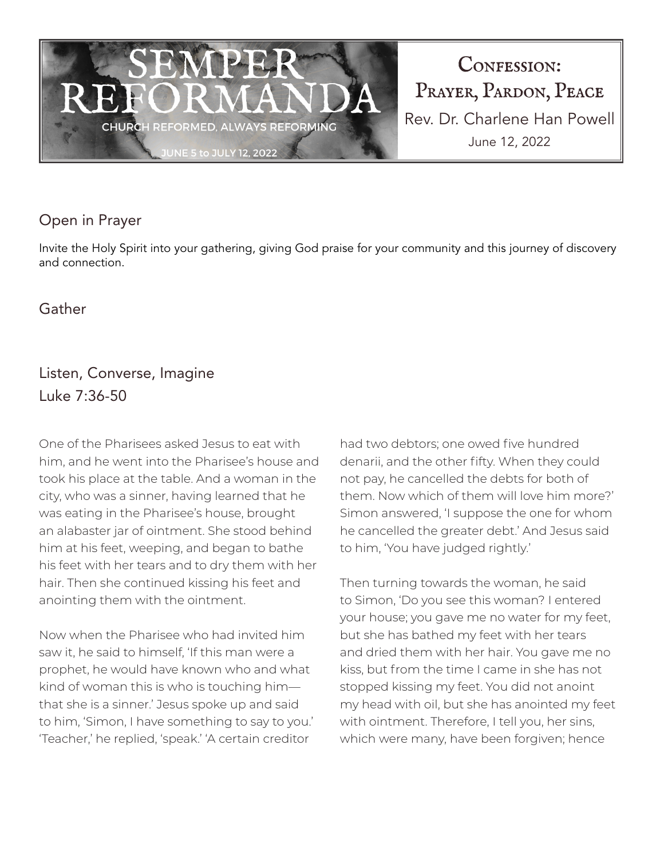

CONFESSION: PRAYER, PARDON, PEACE Rev. Dr. Charlene Han Powell June 12, 2022

## Open in Prayer

Invite the Holy Spirit into your gathering, giving God praise for your community and this journey of discovery and connection.

Gather

# Listen, Converse, Imagine Luke 7:36-50

One of the Pharisees asked Jesus to eat with him, and he went into the Pharisee's house and took his place at the table. And a woman in the city, who was a sinner, having learned that he was eating in the Pharisee's house, brought an alabaster jar of ointment. She stood behind him at his feet, weeping, and began to bathe his feet with her tears and to dry them with her hair. Then she continued kissing his feet and anointing them with the ointment.

Now when the Pharisee who had invited him saw it, he said to himself, 'If this man were a prophet, he would have known who and what kind of woman this is who is touching him that she is a sinner.' Jesus spoke up and said to him, 'Simon, I have something to say to you.' 'Teacher,' he replied, 'speak.' 'A certain creditor

had two debtors; one owed five hundred denarii, and the other fifty. When they could not pay, he cancelled the debts for both of them. Now which of them will love him more?' Simon answered, 'I suppose the one for whom he cancelled the greater debt.' And Jesus said to him, 'You have judged rightly.'

Then turning towards the woman, he said to Simon, 'Do you see this woman? I entered your house; you gave me no water for my feet, but she has bathed my feet with her tears and dried them with her hair. You gave me no kiss, but from the time I came in she has not stopped kissing my feet. You did not anoint my head with oil, but she has anointed my feet with ointment. Therefore, I tell you, her sins, which were many, have been forgiven; hence